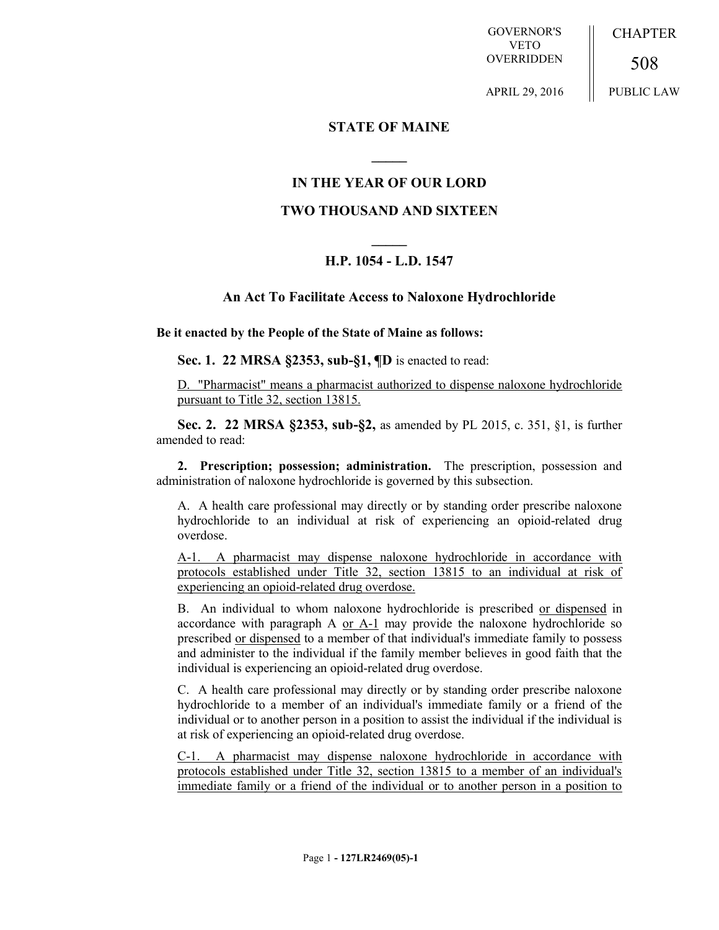GOVERNOR'S VETO **OVERRIDDEN CHAPTER** 508

APRIL 29, 2016

PUBLIC LAW

### **STATE OF MAINE**

### **IN THE YEAR OF OUR LORD**

**\_\_\_\_\_**

### **TWO THOUSAND AND SIXTEEN**

# **\_\_\_\_\_ H.P. 1054 - L.D. 1547**

## **An Act To Facilitate Access to Naloxone Hydrochloride**

**Be it enacted by the People of the State of Maine as follows:**

**Sec. 1. 22 MRSA §2353, sub-§1, ¶D** is enacted to read:

D. "Pharmacist" means a pharmacist authorized to dispense naloxone hydrochloride pursuant to Title 32, section 13815.

**Sec. 2. 22 MRSA §2353, sub-§2,** as amended by PL 2015, c. 351, §1, is further amended to read:

**2. Prescription; possession; administration.** The prescription, possession and administration of naloxone hydrochloride is governed by this subsection.

A. A health care professional may directly or by standing order prescribe naloxone hydrochloride to an individual at risk of experiencing an opioid-related drug overdose.

A-1. A pharmacist may dispense naloxone hydrochloride in accordance with protocols established under Title 32, section 13815 to an individual at risk of experiencing an opioid-related drug overdose.

B. An individual to whom naloxone hydrochloride is prescribed or dispensed in accordance with paragraph A or A-1 may provide the naloxone hydrochloride so prescribed or dispensed to a member of that individual's immediate family to possess and administer to the individual if the family member believes in good faith that the individual is experiencing an opioid-related drug overdose.

C. A health care professional may directly or by standing order prescribe naloxone hydrochloride to a member of an individual's immediate family or a friend of the individual or to another person in a position to assist the individual if the individual is at risk of experiencing an opioid-related drug overdose.

C-1. A pharmacist may dispense naloxone hydrochloride in accordance with protocols established under Title 32, section 13815 to a member of an individual's immediate family or a friend of the individual or to another person in a position to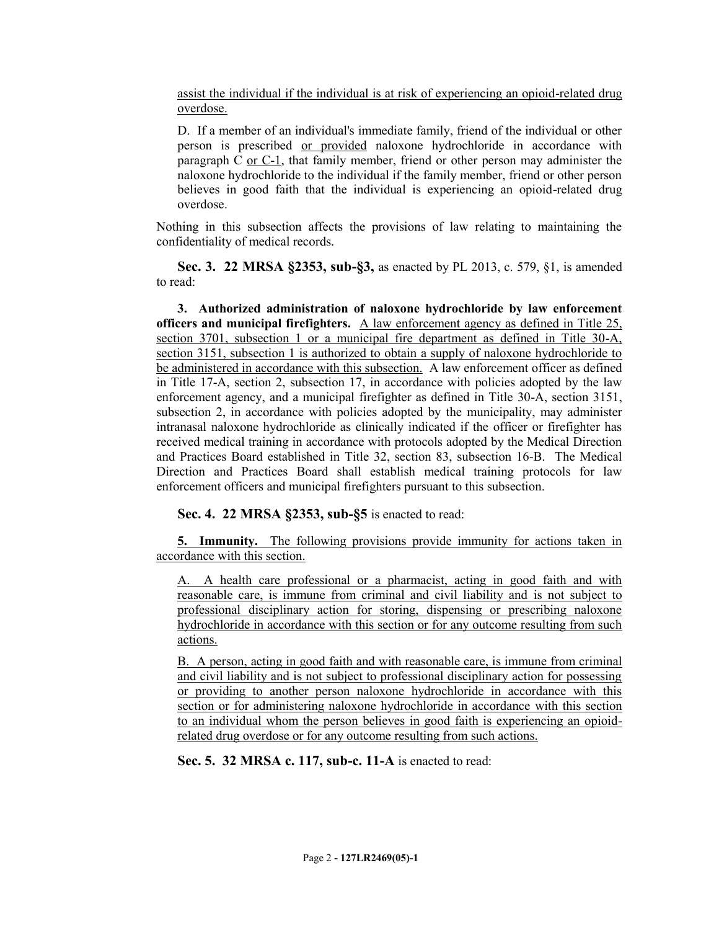assist the individual if the individual is at risk of experiencing an opioid-related drug overdose.

D. If a member of an individual's immediate family, friend of the individual or other person is prescribed or provided naloxone hydrochloride in accordance with paragraph C or C-1, that family member, friend or other person may administer the naloxone hydrochloride to the individual if the family member, friend or other person believes in good faith that the individual is experiencing an opioid-related drug overdose.

Nothing in this subsection affects the provisions of law relating to maintaining the confidentiality of medical records.

**Sec. 3. 22 MRSA §2353, sub-§3,** as enacted by PL 2013, c. 579, §1, is amended to read:

**3. Authorized administration of naloxone hydrochloride by law enforcement officers and municipal firefighters.** A law enforcement agency as defined in Title 25, section 3701, subsection 1 or a municipal fire department as defined in Title 30-A, section 3151, subsection 1 is authorized to obtain a supply of naloxone hydrochloride to be administered in accordance with this subsection. A law enforcement officer as defined in Title 17-A, section 2, subsection 17, in accordance with policies adopted by the law enforcement agency, and a municipal firefighter as defined in Title 30-A, section 3151, subsection 2, in accordance with policies adopted by the municipality, may administer intranasal naloxone hydrochloride as clinically indicated if the officer or firefighter has received medical training in accordance with protocols adopted by the Medical Direction and Practices Board established in Title 32, section 83, subsection 16-B. The Medical Direction and Practices Board shall establish medical training protocols for law enforcement officers and municipal firefighters pursuant to this subsection.

**Sec. 4. 22 MRSA §2353, sub-§5** is enacted to read:

**5. Immunity.** The following provisions provide immunity for actions taken in accordance with this section.

A. A health care professional or a pharmacist, acting in good faith and with reasonable care, is immune from criminal and civil liability and is not subject to professional disciplinary action for storing, dispensing or prescribing naloxone hydrochloride in accordance with this section or for any outcome resulting from such actions.

B. A person, acting in good faith and with reasonable care, is immune from criminal and civil liability and is not subject to professional disciplinary action for possessing or providing to another person naloxone hydrochloride in accordance with this section or for administering naloxone hydrochloride in accordance with this section to an individual whom the person believes in good faith is experiencing an opioidrelated drug overdose or for any outcome resulting from such actions.

**Sec. 5. 32 MRSA c. 117, sub-c. 11-A** is enacted to read: